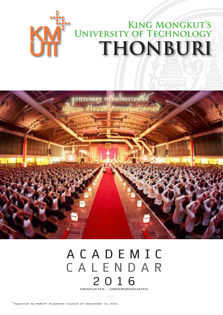# **King Mongkut's University of Technology THONBURI**



### **A C A D E M I C C A L E N D A R 2 0 1 6 GRADUATES : UNDERGRADUATES**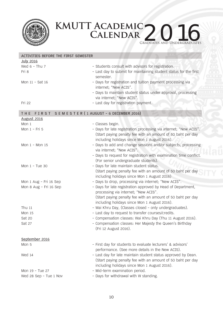

## **KMUTT Academic** KMUTT ACADEMIC 2016

Graduates and Undergraduates

| ACTIVITIES BEFORE THE FIRST SEMESTER               |                                                                                                         |  |  |  |
|----------------------------------------------------|---------------------------------------------------------------------------------------------------------|--|--|--|
| <b>July 2016</b>                                   |                                                                                                         |  |  |  |
| Wed $6 - Thu$ 7                                    | - Students consult with advisors for registration.                                                      |  |  |  |
| Fri 8                                              | - Last day to submit for maintaining student status for the first                                       |  |  |  |
|                                                    | semester.                                                                                               |  |  |  |
| Mon 11 - Sat 16                                    | - Days for registration and tuition payment processing via                                              |  |  |  |
|                                                    | internet; "New ACIS".                                                                                   |  |  |  |
|                                                    | - Days to maintain student status under approval, processing                                            |  |  |  |
|                                                    | via internet; "New ACIS".                                                                               |  |  |  |
| Fri 22                                             | - Last day for registration payment.                                                                    |  |  |  |
| FIRST SEMESTER (1 AUGUST - 6 DECEMBER 2016)<br>THE |                                                                                                         |  |  |  |
| <b>August 2016</b>                                 |                                                                                                         |  |  |  |
| Mon 1                                              | - Classes begin.                                                                                        |  |  |  |
| Mon 1 - Fri 5                                      | - Days for late registration processing via internet; "New ACIS".                                       |  |  |  |
|                                                    | (Start paying penalty fee with an amount of 50 baht per day                                             |  |  |  |
|                                                    | including holidays since Mon 1 August 2016).                                                            |  |  |  |
| Mon 1 - Mon 15                                     | - Days to add and change sessions and/or subjects, processing                                           |  |  |  |
|                                                    | via internet; "New ACIS".                                                                               |  |  |  |
|                                                    | - Days to request for registration with examination time conflict.                                      |  |  |  |
| Mon 1 - Tue 30                                     | (For senior undergraduate students).                                                                    |  |  |  |
|                                                    | - Days for late maintain student status.<br>(Start paying penalty fee with an amount of 50 baht per day |  |  |  |
|                                                    | including holidays since Mon 1 August 2016)                                                             |  |  |  |
| Mon 1 Aug - Fri 16 Sep                             | - Days to drop, processing via internet; "New ACIS".                                                    |  |  |  |
| Mon 8 Aug - Fri 16 Sep                             | - Days for late registration approved by Head of Department,                                            |  |  |  |
|                                                    | processing via internet; "New ACIS".                                                                    |  |  |  |
|                                                    | (Start paying penalty fee with an amount of 50 baht per day                                             |  |  |  |
|                                                    | including holidays since Mon 1 August 2016).                                                            |  |  |  |
| Thu 11                                             | - Wai Khru Day, (Classes closed - only undergraduates).                                                 |  |  |  |
| <b>Mon 15</b>                                      | - Last day to request to transfer courses/credits.                                                      |  |  |  |
| Sat 20                                             | - Compensation classes: Wai Khru Day (Thu 11 August 2016).                                              |  |  |  |
| Sat 27                                             | - Compensation classes: Her Majesty the Queen's Birthday                                                |  |  |  |
|                                                    | (Fri 12 August 2016).                                                                                   |  |  |  |
| September 2016                                     |                                                                                                         |  |  |  |
| Mon 5                                              | - First day for students to evaluate lecturers' & advisors'                                             |  |  |  |
|                                                    | performance. (See more details in the New ACIS).                                                        |  |  |  |
| Wed 14                                             | - Last day for late maintain student status approved by Dean.                                           |  |  |  |
|                                                    | (Start paying penalty fee with an amount of 50 baht per day                                             |  |  |  |
|                                                    | including holidays since Mon 1 August 2016).                                                            |  |  |  |
| Mon 19 - Tue 27                                    | - Mid-term examination period.                                                                          |  |  |  |
| Wed 28 Sep - Tue 1 Nov                             | - Days for withdrawal with W standing.                                                                  |  |  |  |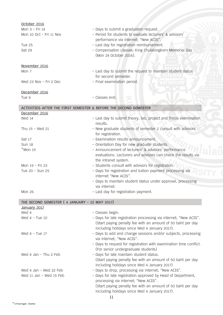| October 2016                                  |                                                                                                      |
|-----------------------------------------------|------------------------------------------------------------------------------------------------------|
| Mon 3 - Fri 14                                | - Days to submit a graduation request.                                                               |
| Mon 10 Oct - Fri 11 Nov                       | - Period for students to evaluate lecturers' & advisors'                                             |
|                                               | performance via internet; "New ACIS".                                                                |
| <b>Tue 25</b>                                 | - Last day for registration reimbursement.                                                           |
| Sat 29                                        | - Compensation classes: King Chulalongkorn Memorial Day                                              |
|                                               | (Mon 24 October 2016).                                                                               |
|                                               |                                                                                                      |
| November 2016<br>Mon 7                        | - Last day to submit the request to maintain student status                                          |
|                                               | for second semester.                                                                                 |
| Wed 23 Nov - Fri 2 Dec                        | - Final examination period.                                                                          |
|                                               |                                                                                                      |
| December 2016                                 |                                                                                                      |
| Tue 6                                         | - Classes end.                                                                                       |
|                                               |                                                                                                      |
|                                               | ACTIVITIES AFTER THE FIRST SEMESTER & BEFORE THE SECOND SEMESTER                                     |
| December 2016                                 |                                                                                                      |
| Wed 14                                        | - Last day to submit theory, lab, project and thesis examination<br>results.                         |
| Thu 15 - Wed 21                               | - New graduate students of semester 2 consult with advisors                                          |
|                                               | for registration.                                                                                    |
| Sat 17                                        | - Examination results announcement.                                                                  |
| <b>Sun 18</b>                                 | - Orientation Day for new graduate students.                                                         |
| $*$ Mon 19                                    | - Announcement of lecturers' & advisors' performance                                                 |
|                                               | evaluations. Lecturers and advisors can check the results via                                        |
|                                               | the intranet system.                                                                                 |
| Mon 19 - Fri 23                               | - Students consult with advisors for registration.                                                   |
| Tue 20 - Sun 25                               | - Days for registration and tuition payment processing via                                           |
|                                               | internet "New ACIS".                                                                                 |
|                                               | - Days to maintain student status under approval, processing                                         |
|                                               | via internet.                                                                                        |
| <b>Mon 26</b>                                 | - Last day for registration payment.                                                                 |
| THE SECOND SEMESTER (4 JANUARY - 22 MAY 2017) |                                                                                                      |
| January 2017                                  |                                                                                                      |
| Wed 4                                         | - Classes begin.                                                                                     |
| Wed $4$ - Tue 10                              | - Days for late registration processing via internet; "New ACIS".                                    |
|                                               | (Start paying penalty fee with an amount of 50 baht per day                                          |
|                                               | including holidays since Wed 4 January 2017).                                                        |
| Wed $4$ - Tue 17                              | - Days to add and change sessions and/or subjects, processing                                        |
|                                               | via internet; "New ACIS".                                                                            |
|                                               | - Days to request for registration with examination time conflict.                                   |
|                                               | (For senior undergraduate students)                                                                  |
| Wed 4 Jan - Thu 2 Feb                         | - Days for late maintain student status.                                                             |
|                                               | (Start paying penalty fee with an amount of 50 baht per day                                          |
|                                               | including holidays since Wed 4 January 2017)                                                         |
| Wed 4 Jan - Wed 22 Feb                        | - Days to drop, processing via internet; "New ACIS".                                                 |
| Wed 11 Jan - Wed 15 Feb                       | - Days for late registration approved by Head of Department,<br>processing via internet; "New ACIS". |
|                                               | (Start paying penalty fee with an amount of 50 baht per day                                          |
|                                               | including holidays since Wed 4 January 2017).                                                        |
|                                               |                                                                                                      |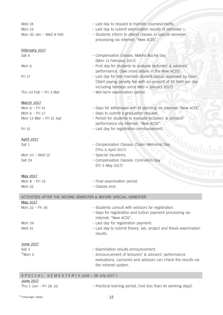| Wed 18                                                         | - Last day to request to transfer courses/credits.                         |
|----------------------------------------------------------------|----------------------------------------------------------------------------|
| Mon 23                                                         | - Last day to submit examination results of semester 1.                    |
| Mon 30 Jan - Wed 8 Feb                                         | - Students inform to attend classes in special semester                    |
|                                                                | processing via internet; "New ACIS".                                       |
|                                                                |                                                                            |
| February 2017                                                  |                                                                            |
| Sat 4                                                          | - Compensation Classes: Makha Bucha Day                                    |
|                                                                | (Mon 13 February 2017)                                                     |
| Mon 6                                                          | - First day for students to evaluate lecturers' & advisors'                |
|                                                                | performance. (See more details in the New ACIS).                           |
| Fri 17                                                         | - Last day for late maintain student status <sup>1</sup> approved by Dean. |
|                                                                | (Start paying penalty fee with an amount of 50 baht per day                |
|                                                                | including holidays since Wed 4 January 2017).                              |
| Thu 23 Feb - Fri 3 Mar                                         | - Mid-term examination period.                                             |
|                                                                |                                                                            |
| <b>March 2017</b>                                              |                                                                            |
| Mon 6 - Fri 31                                                 | - Days for withdrawal with W standing via internet; "New ACIS".            |
| Mon 6 - Fri 17                                                 | - Days to submit a graduation request.                                     |
| Mon 13 Mar - Fri 21 Apr                                        | - Period for students to evaluate lecturers' & advisors'                   |
|                                                                | performance via internet; "New ACIS".                                      |
| Fri 31                                                         | - Last day for registration reimbursement.                                 |
|                                                                |                                                                            |
| <b>April 2017</b>                                              |                                                                            |
| Sat 1                                                          | - Compensation Classes: Chakri Memorial Day                                |
|                                                                | (Thu 6 April 2017)                                                         |
| Mon 10 - Wed 12                                                | - Special Vacations.                                                       |
| Sat 29                                                         | - Compensation Classes: Coronation Day                                     |
|                                                                | (Fri 5 May 2017)                                                           |
|                                                                | UNIVERS                                                                    |
| May 2017                                                       |                                                                            |
| Mon 8 - Fri 19                                                 | - Final examination period.                                                |
| <b>Mon 22</b>                                                  | - Classes end.                                                             |
| ACTIVITIES AFTER THE SECOND SEMESTER & BEFORE SPECIAL SEMESTER |                                                                            |
| May 2017                                                       |                                                                            |
| Mon 22 - Fri 26                                                | - Students consult with advisors for registration.                         |
|                                                                | - Days for registration and tuition payment processing via                 |
|                                                                | internet; "New ACIS".                                                      |
| <b>Mon 29</b>                                                  | - Last day for registration payment.                                       |
| <b>Wed 31</b>                                                  | - Last day to submit theory, lab, project and thesis examination           |
|                                                                | results.                                                                   |
|                                                                |                                                                            |
| June 2017                                                      |                                                                            |
| Sat 3                                                          | - Examination results announcement.                                        |
| $*$ Mon 5                                                      | - Announcement of lecturers' & advisors' performance                       |
|                                                                | evaluations. Lecturers and advisors can check the results via              |
|                                                                | the intranet system.                                                       |
|                                                                |                                                                            |
| SPECIAL SEMESTER (5 June - 28 July 2017)                       |                                                                            |
| $I$ <sub>II</sub> ne $2017$                                    |                                                                            |

**June 2017**<br>Thu 1 Jun - Fri 28 Jul

- Practical training period, (not less than 40 working days).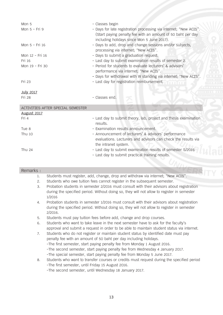| Mon 5<br>Mon 5 - Fri 9            | - Classes begin<br>- Days for late registration processing via internet; "New ACIS".<br>(Start paying penalty fee with an amount of 50 baht per day<br>including holidays since Mon 5 June 2017). |
|-----------------------------------|---------------------------------------------------------------------------------------------------------------------------------------------------------------------------------------------------|
| Mon 5 - Fri 16                    | - Days to add, drop and change sessions and/or subjects,<br>processing via internet; "New ACIS".                                                                                                  |
| Mon 12 - Fri 16                   | - Days to submit a graduation request.                                                                                                                                                            |
| Fri 16                            | - Last day to submit examination results of semester 2.                                                                                                                                           |
| Mon 19 - Fri 30                   | - Period for students to evaluate lecturers' & advisors'<br>performance via internet; "New ACIS".<br>- Days for withdrawal with W standing via internet; "New ACIS".                              |
| Fri 23                            | - Last day for registration reimbursement.                                                                                                                                                        |
| <b>July 2017</b>                  |                                                                                                                                                                                                   |
| Fri 28                            | - Classes end.                                                                                                                                                                                    |
| ACTIVITIES AFTER SPECIAL SEMESTER |                                                                                                                                                                                                   |
| <b>August 2017</b>                |                                                                                                                                                                                                   |
| Fri 4                             | - Last day to submit theory, lab, project and thesis examination<br>results.                                                                                                                      |
|                                   |                                                                                                                                                                                                   |

| Tue 8  | - Examination results announcement.                           |
|--------|---------------------------------------------------------------|
| Thu 10 | - Announcement of lecturers' & advisors' performance          |
|        | evaluations. Lecturers and advisors can check the results via |
|        | the intranet system.                                          |
| Thu 24 | - Last day to submit examination results of semester S/2016   |
|        | - Last day to submit practical training results.              |

#### Remarks :<br>1.

- 1. Students must register, add, change, drop and withdraw via internet; "New ACIS".
- 2. Students who owe tuition fees cannot register in the subsequent semester.<br>3. Probation students in semester 2/2016 must consult with their advisors abo
- 3. Probation students in semester 2/2016 must consult with their advisors about registration during the specified period. Without doing so, they will not allow to register in semester 1/2016
- 4. Probation students in semester 1/2016 must consult with their advisors about registration during the specified period. Without doing so, they will not allow to register in semester 2/2016.
- 5. Students must pay tuition fees before add, change and drop courses.<br>6. Students who want to take leave in the next semester have to ask for
- Students who want to take leave in the next semester have to ask for the faculty's approval and submit a request in order to be able to maintain student status via internet.
- 7. Students who do not register or maintain student status by identified date must pay penalty fee with an amount of 50 baht per day including holidays. -The first semester, start paying penalty fee from Monday 1 August 2016. -The second semester, start paying penalty fee from Wednesday 4 January 2017. -The special semester, start paying penalty fee from Monday 5 June 2017.
- 8. Students who want to transfer courses or credits must request during the specified period -The first semester, until Friday 15 August 2016. -The second semester, until Wednesday 18 January 2017.